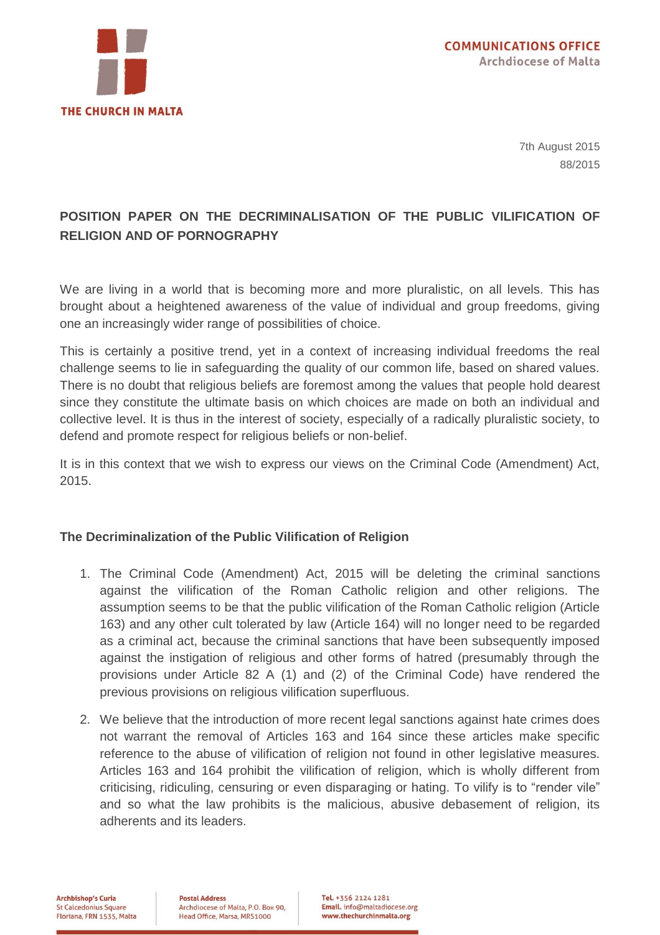

7th August 2015 88/2015

## **POSITION PAPER ON THE DECRIMINALISATION OF THE PUBLIC VILIFICATION OF RELIGION AND OF PORNOGRAPHY**

We are living in a world that is becoming more and more pluralistic, on all levels. This has brought about a heightened awareness of the value of individual and group freedoms, giving one an increasingly wider range of possibilities of choice.

This is certainly a positive trend, yet in a context of increasing individual freedoms the real challenge seems to lie in safeguarding the quality of our common life, based on shared values. There is no doubt that religious beliefs are foremost among the values that people hold dearest since they constitute the ultimate basis on which choices are made on both an individual and collective level. It is thus in the interest of society, especially of a radically pluralistic society, to defend and promote respect for religious beliefs or non-belief.

It is in this context that we wish to express our views on the Criminal Code (Amendment) Act, 2015.

## **The Decriminalization of the Public Vilification of Religion**

- 1. The Criminal Code (Amendment) Act, 2015 will be deleting the criminal sanctions against the vilification of the Roman Catholic religion and other religions. The assumption seems to be that the public vilification of the Roman Catholic religion (Article 163) and any other cult tolerated by law (Article 164) will no longer need to be regarded as a criminal act, because the criminal sanctions that have been subsequently imposed against the instigation of religious and other forms of hatred (presumably through the provisions under Article 82 A (1) and (2) of the Criminal Code) have rendered the previous provisions on religious vilification superfluous.
- 2. We believe that the introduction of more recent legal sanctions against hate crimes does not warrant the removal of Articles 163 and 164 since these articles make specific reference to the abuse of vilification of religion not found in other legislative measures. Articles 163 and 164 prohibit the vilification of religion, which is wholly different from criticising, ridiculing, censuring or even disparaging or hating. To vilify is to "render vile" and so what the law prohibits is the malicious, abusive debasement of religion, its adherents and its leaders.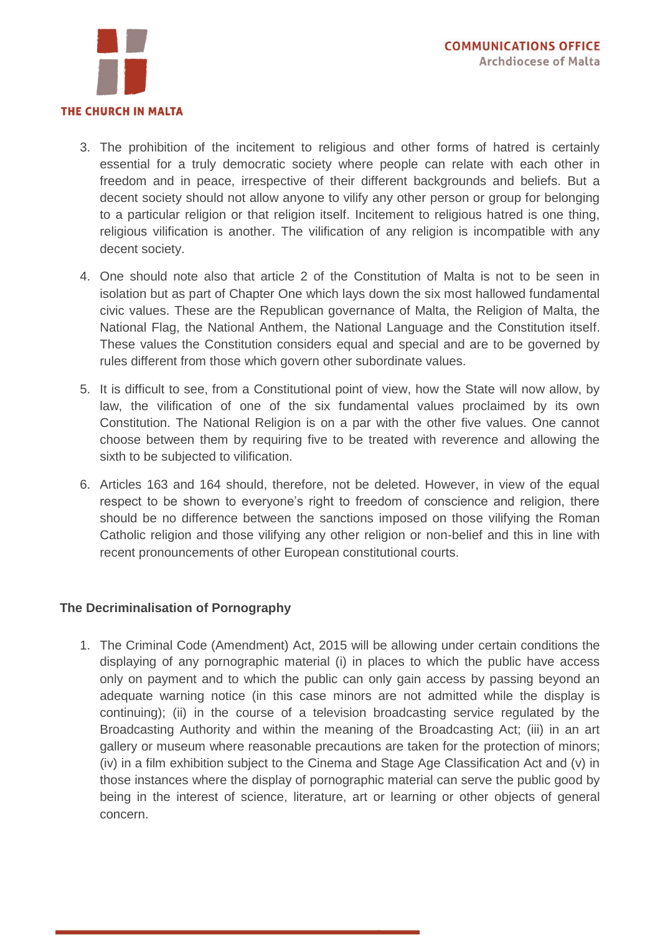

- 3. The prohibition of the incitement to religious and other forms of hatred is certainly essential for a truly democratic society where people can relate with each other in freedom and in peace, irrespective of their different backgrounds and beliefs. But a decent society should not allow anyone to vilify any other person or group for belonging to a particular religion or that religion itself. Incitement to religious hatred is one thing, religious vilification is another. The vilification of any religion is incompatible with any decent society.
- 4. One should note also that article 2 of the Constitution of Malta is not to be seen in isolation but as part of Chapter One which lays down the six most hallowed fundamental civic values. These are the Republican governance of Malta, the Religion of Malta, the National Flag, the National Anthem, the National Language and the Constitution itself. These values the Constitution considers equal and special and are to be governed by rules different from those which govern other subordinate values.
- 5. It is difficult to see, from a Constitutional point of view, how the State will now allow, by law, the vilification of one of the six fundamental values proclaimed by its own Constitution. The National Religion is on a par with the other five values. One cannot choose between them by requiring five to be treated with reverence and allowing the sixth to be subjected to vilification.
- 6. Articles 163 and 164 should, therefore, not be deleted. However, in view of the equal respect to be shown to everyone's right to freedom of conscience and religion, there should be no difference between the sanctions imposed on those vilifying the Roman Catholic religion and those vilifying any other religion or non-belief and this in line with recent pronouncements of other European constitutional courts.

## **The Decriminalisation of Pornography**

1. The Criminal Code (Amendment) Act, 2015 will be allowing under certain conditions the displaying of any pornographic material (i) in places to which the public have access only on payment and to which the public can only gain access by passing beyond an adequate warning notice (in this case minors are not admitted while the display is continuing); (ii) in the course of a television broadcasting service regulated by the Broadcasting Authority and within the meaning of the Broadcasting Act; (iii) in an art gallery or museum where reasonable precautions are taken for the protection of minors; (iv) in a film exhibition subject to the Cinema and Stage Age Classification Act and (v) in those instances where the display of pornographic material can serve the public good by being in the interest of science, literature, art or learning or other objects of general concern.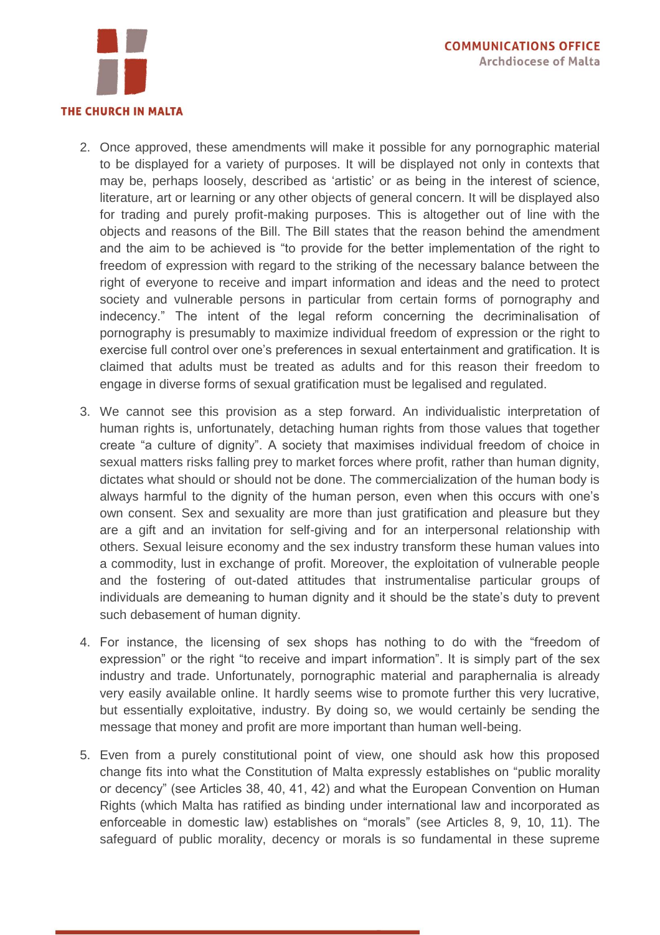

- 2. Once approved, these amendments will make it possible for any pornographic material to be displayed for a variety of purposes. It will be displayed not only in contexts that may be, perhaps loosely, described as 'artistic' or as being in the interest of science, literature, art or learning or any other objects of general concern. It will be displayed also for trading and purely profit-making purposes. This is altogether out of line with the objects and reasons of the Bill. The Bill states that the reason behind the amendment and the aim to be achieved is "to provide for the better implementation of the right to freedom of expression with regard to the striking of the necessary balance between the right of everyone to receive and impart information and ideas and the need to protect society and vulnerable persons in particular from certain forms of pornography and indecency." The intent of the legal reform concerning the decriminalisation of pornography is presumably to maximize individual freedom of expression or the right to exercise full control over one's preferences in sexual entertainment and gratification. It is claimed that adults must be treated as adults and for this reason their freedom to engage in diverse forms of sexual gratification must be legalised and regulated.
- 3. We cannot see this provision as a step forward. An individualistic interpretation of human rights is, unfortunately, detaching human rights from those values that together create "a culture of dignity". A society that maximises individual freedom of choice in sexual matters risks falling prey to market forces where profit, rather than human dignity, dictates what should or should not be done. The commercialization of the human body is always harmful to the dignity of the human person, even when this occurs with one's own consent. Sex and sexuality are more than just gratification and pleasure but they are a gift and an invitation for self-giving and for an interpersonal relationship with others. Sexual leisure economy and the sex industry transform these human values into a commodity, lust in exchange of profit. Moreover, the exploitation of vulnerable people and the fostering of out-dated attitudes that instrumentalise particular groups of individuals are demeaning to human dignity and it should be the state's duty to prevent such debasement of human dignity.
- 4. For instance, the licensing of sex shops has nothing to do with the "freedom of expression" or the right "to receive and impart information". It is simply part of the sex industry and trade. Unfortunately, pornographic material and paraphernalia is already very easily available online. It hardly seems wise to promote further this very lucrative, but essentially exploitative, industry. By doing so, we would certainly be sending the message that money and profit are more important than human well-being.
- 5. Even from a purely constitutional point of view, one should ask how this proposed change fits into what the Constitution of Malta expressly establishes on "public morality or decency" (see Articles 38, 40, 41, 42) and what the European Convention on Human Rights (which Malta has ratified as binding under international law and incorporated as enforceable in domestic law) establishes on "morals" (see Articles 8, 9, 10, 11). The safeguard of public morality, decency or morals is so fundamental in these supreme